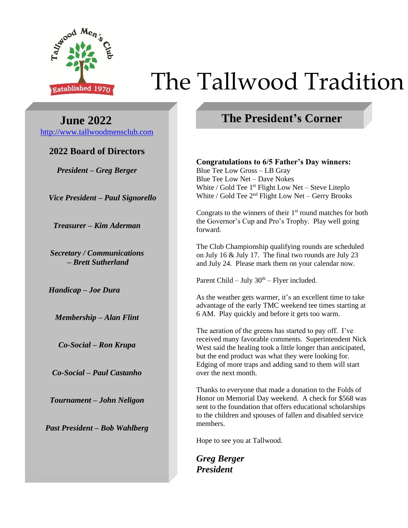

# Established 1970 The Tallwood Tradition

 **June 2022** [http://www.tallwoodmensclub.com](http://www.tallwoodmensclub.com/)

# **2022 Board of Directors**

*President – Greg Berger*

*Vice President – Paul Signorello*

*Treasurer – Kim Aderman*

*Secretary / Communications – Brett Sutherland*

*Handicap – Joe Dura*

*Membership – Alan Flint*

*Co-Social – Ron Krupa*

*Co-Social – Paul Castanho*

*Tournament – John Neligon*

*Past President – Bob Wahlberg*

# **The President's Corner**

**Congratulations to 6/5 Father's Day winners:**

Blue Tee Low Gross – LB Gray Blue Tee Low Net – Dave Nokes White / Gold Tee 1<sup>st</sup> Flight Low Net - Steve Liteplo White / Gold Tee  $2<sup>nd</sup>$  Flight Low Net – Gerry Brooks

Congrats to the winners of their  $1<sup>st</sup>$  round matches for both the Governor's Cup and Pro's Trophy. Play well going forward.

The Club Championship qualifying rounds are scheduled on July 16 & July 17. The final two rounds are July 23 and July 24. Please mark them on your calendar now.

Parent Child – July  $30<sup>th</sup>$  – Flyer included.

As the weather gets warmer, it's an excellent time to take advantage of the early TMC weekend tee times starting at 6 AM. Play quickly and before it gets too warm.

The aeration of the greens has started to pay off. I've received many favorable comments. Superintendent Nick West said the healing took a little longer than anticipated, but the end product was what they were looking for. Edging of more traps and adding sand to them will start over the next month.

Thanks to everyone that made a donation to the Folds of Honor on Memorial Day weekend. A check for \$568 was sent to the foundation that offers educational scholarships to the children and spouses of fallen and disabled service members.

Hope to see you at Tallwood.

*Greg Berger President*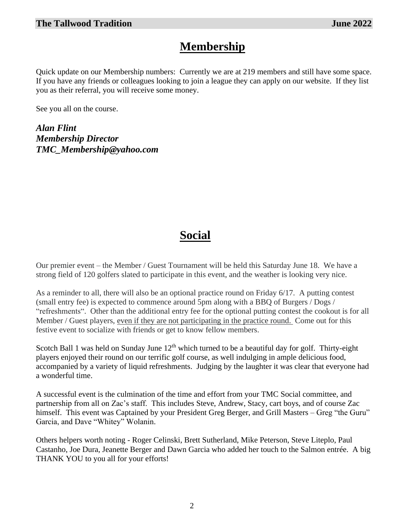# **Membership**

Quick update on our Membership numbers: Currently we are at 219 members and still have some space. If you have any friends or colleagues looking to join a league they can apply on our website. If they list you as their referral, you will receive some money.

See you all on the course.

*Alan Flint Membership Director TMC\_Membership@yahoo.com*

# **Social**

Our premier event – the Member / Guest Tournament will be held this Saturday June 18. We have a strong field of 120 golfers slated to participate in this event, and the weather is looking very nice.

As a reminder to all, there will also be an optional practice round on Friday 6/17. A putting contest (small entry fee) is expected to commence around 5pm along with a BBQ of Burgers / Dogs / "refreshments". Other than the additional entry fee for the optional putting contest the cookout is for all Member / Guest players, even if they are not participating in the practice round. Come out for this festive event to socialize with friends or get to know fellow members.

Scotch Ball 1 was held on Sunday June  $12<sup>th</sup>$  which turned to be a beautiful day for golf. Thirty-eight players enjoyed their round on our terrific golf course, as well indulging in ample delicious food, accompanied by a variety of liquid refreshments. Judging by the laughter it was clear that everyone had a wonderful time.

A successful event is the culmination of the time and effort from your TMC Social committee, and partnership from all on Zac's staff. This includes Steve, Andrew, Stacy, cart boys, and of course Zac himself. This event was Captained by your President Greg Berger, and Grill Masters – Greg "the Guru" Garcia, and Dave "Whitey" Wolanin.

Others helpers worth noting - Roger Celinski, Brett Sutherland, Mike Peterson, Steve Liteplo, Paul Castanho, Joe Dura, Jeanette Berger and Dawn Garcia who added her touch to the Salmon entrée. A big THANK YOU to you all for your efforts!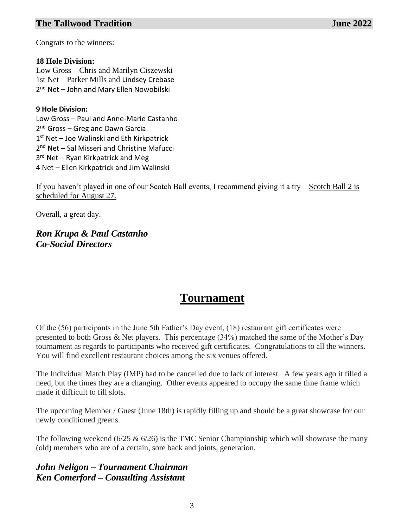## **The Tallwood Tradition June 2022**

Congrats to the winners:

#### **18 Hole Division:**

Low Gross – Chris and Marilyn Ciszewski 1st Net – Parker Mills and Lindsey Crebase 2<sup>nd</sup> Net – John and Mary Ellen Nowobilski

#### **9 Hole Division:**

Low Gross – Paul and Anne-Marie Castanho 2<sup>nd</sup> Gross – Greg and Dawn Garcia 1<sup>st</sup> Net - Joe Walinski and Eth Kirkpatrick 2<sup>nd</sup> Net – Sal Misseri and Christine Mafucci 3<sup>rd</sup> Net – Ryan Kirkpatrick and Meg 4 Net – Ellen Kirkpatrick and Jim Walinski

If you haven't played in one of our Scotch Ball events, I recommend giving it a try – Scotch Ball 2 is scheduled for August 27.

Overall, a great day.

*Ron Krupa & Paul Castanho Co-Social Directors*

# **Tournament**

Of the (56) participants in the June 5th Father's Day event, (18) restaurant gift certificates were presented to both Gross & Net players. This percentage (34%) matched the same of the Mother's Day tournament as regards to participants who received gift certificates. Congratulations to all the winners. You will find excellent restaurant choices among the six venues offered.

The Individual Match Play (IMP) had to be cancelled due to lack of interest. A few years ago it filled a need, but the times they are a changing. Other events appeared to occupy the same time frame which made it difficult to fill slots.

The upcoming Member / Guest (June 18th) is rapidly filling up and should be a great showcase for our newly conditioned greens.

The following weekend ( $6/25 \& 6/26$ ) is the TMC Senior Championship which will showcase the many (old) members who are of a certain, sore back and joints, generation.

## *John Neligon – Tournament Chairman Ken Comerford – Consulting Assistant*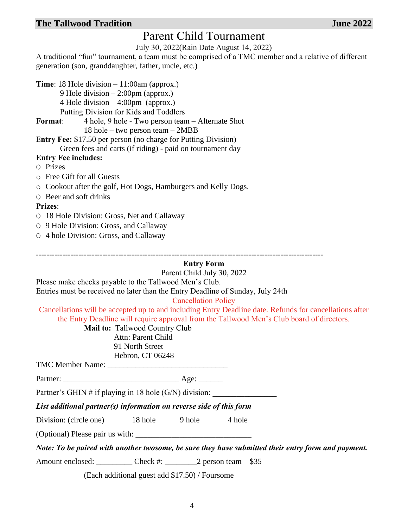## **The Tallwood Tradition June 2022**

# Parent Child Tournament

July 30, 2022(Rain Date August 14, 2022)

A traditional "fun" tournament, a team must be comprised of a TMC member and a relative of different generation (son, granddaughter, father, uncle, etc.)

**Time**: 18 Hole division – 11:00am (approx.)

9 Hole division – 2:00pm (approx.)

4 Hole division – 4:00pm (approx.)

Putting Division for Kids and Toddlers

**Format**: 4 hole, 9 hole - Two person team – Alternate Shot 18 hole – two person team – 2MBB

E**ntry Fee:** \$17.50 per person (no charge for Putting Division) Green fees and carts (if riding) - paid on tournament day

## **Entry Fee includes:**

- O Prizes
- o Free Gift for all Guests
- o Cookout after the golf, Hot Dogs, Hamburgers and Kelly Dogs.
- O Beer and soft drinks

#### **Prizes**:

- O 18 Hole Division: Gross, Net and Callaway
- O 9 Hole Division: Gross, and Callaway
- O 4 hole Division: Gross, and Callaway

## **Entry Form**

------------------------------------------------------------------------------------------------------------

Parent Child July 30, 2022

Please make checks payable to the Tallwood Men's Club. Entries must be received no later than the Entry Deadline of Sunday, July 24th

Cancellation Policy

Cancellations will be accepted up to and including Entry Deadline date. Refunds for cancellations after the Entry Deadline will require approval from the Tallwood Men's Club board of directors.

**Mail to:** Tallwood Country Club

Attn: Parent Child 91 North Street

Hebron, CT 06248 TMC Member Name: \_\_\_\_\_\_\_\_\_\_\_\_\_\_\_\_\_\_\_\_\_\_\_\_\_\_\_\_\_\_

Partner: \_\_\_\_\_\_\_\_\_\_\_\_\_\_\_\_\_\_\_\_\_\_\_\_\_\_\_\_\_ Age: \_\_\_\_\_\_

Partner's GHIN # if playing in 18 hole  $(G/N)$  division:

*List additional partner(s) information on reverse side of this form*

Division: (circle one) 18 hole 9 hole 4 hole

(Optional) Please pair us with: \_\_\_\_\_\_\_\_\_\_\_\_\_\_\_\_\_\_\_\_\_\_\_\_\_\_\_\_\_

*Note: To be paired with another twosome, be sure they have submitted their entry form and payment.*

Amount enclosed: \_\_\_\_\_\_\_\_\_\_ Check #: \_\_\_\_\_\_\_\_ 2 person team – \$35

(Each additional guest add \$17.50) / Foursome